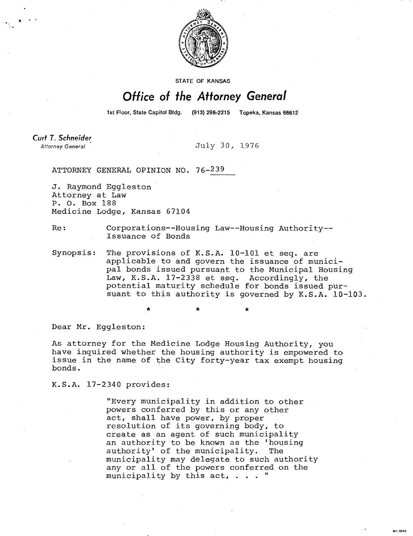

STATE OF KANSAS

## Office of the Attorney General

1st Floor, State Capitol Bldg. (913) 296-2215 Topeka, Kansas 66612

Curt T. Schneider Attorney General

July 30, 1976

ATTORNEY GENERAL OPINION NO. 76-239

J. Raymond Eggleston Attorney at Law P. 0. Box 188 Medicine Lodge, Kansas 67104

Re: Corporations--Housing Law--Housing Authority-- Issuance of Bonds

Synopsis: The provisions of K.S.A. 10-101 et seq. are applicable to and govern the issuance of municipal bonds issued pursuant to the Municipal Housing Law, K.S.A. 17-2338 et seq. Accordingly, the potential maturity schedule for bonds issued pursuant to this authority is governed by K.S.A. 10-103.

Dear Mr. Eggleston:

As attorney for the Medicine Lodge Housing Authority, you have inquired whether the housing authority is empowered to issue in the name of the City forty-year tax exempt housing bonds.

K.S.A. 17-2340 provides:

"Every municipality in addition to other powers conferred by this or any other act, shall have power, by proper resolution of its governing body, to create as an agent of such municipality an authority to be known as the 'housing authority' of the municipality. The municipality may delegate to such authority any or all of the powers conferred on the municipality by this act, . . . "

N1-1043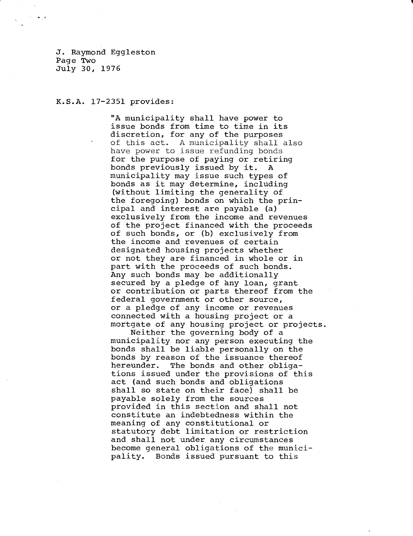J. Raymond Eggleston Page Two July 30, 1976

## K.S.A. 17-2351 provides:

"A municipality shall have power to issue bonds from time to time in its discretion, for any of the purposes of this act. A municipality shall also have power to issue refunding bonds for the purpose of paying or retiring bonds previously issued by it. A municipality may issue such types of bonds as it may determine, including (without limiting the generality of the foregoing) bonds on which the principal and interest are payable (a) exclusively from the income and revenues of the project financed with the proceeds of such bonds, or (b) exclusively from the income and revenues of certain designated housing projects whether or not they are financed in whole or in part with the proceeds of such bonds. Any such bonds may be additionally secured by a pledge of any loan, grant or contribution or parts thereof from the federal government or other source, or a pledge of any income or revenues connected with a housing project or a mortgate of any housing project or projects.

Neither the governing body of a municipality nor any person executing the bonds shall be liable personally on the bonds by reason of the issuance thereof hereunder. The bonds and other obligations issued under the provisions of this act (and such bonds and obligations shall so state on their face) shall be payable solely from the sources provided in this section and shall not constitute an indebtedness within the meaning of any constitutional or statutory debt limitation or restriction and shall not under any circumstances become general obligations of the municipality. Bonds issued pursuant to this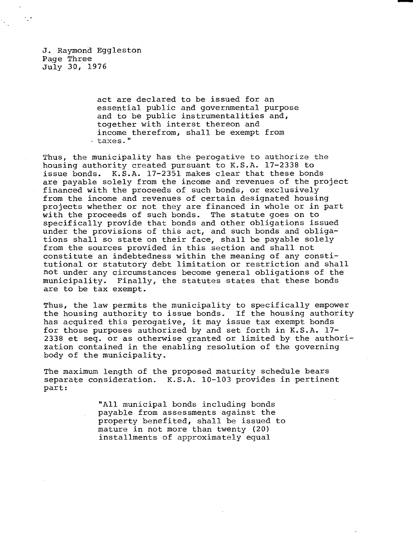J. Raymond Eggleston Page Three July 30, 1976

> act are declared to be issued for an essential public and governmental purpose and to be public instrumentalities and, together with interst thereon and income therefrom, shall be exempt from taxes."

Thus, the municipality has the perogative to authorize the housing authority created pursuant to K.S.A. 17-2338 to issue bonds. K.S.A. 17-2351 makes clear that these bonds are payable solely from the income and revenues of the project financed with the proceeds of such bonds, or exclusively from the income and revenues of certain designated housing projects whether or not they are financed in whole or in part with the proceeds of such bonds. The statute goes on to specifically provide that bonds and other obligations issued under the provisions of this act, and such bonds and obligations shall so state on their face, shall be payable solely from the sources provided in this section and shall not constitute an indebtedness within the meaning of any constitutional or statutory debt limitation or restriction and shall not under any circumstances become general obligations of the municipality. Finally, the statutes states that these bonds are to be tax exempt.

Thus, the law permits the municipality to specifically empower the housing authority to issue bonds. If the housing authority has acquired this perogative, it may issue tax exempt bonds for those purposes authorized by and set forth in K.S.A. 17- 2338 et seq. or as otherwise granted or limited by the authorization contained in the enabling resolution of the governing body of the municipality.

The maximum length of the proposed maturity schedule bears separate consideration. K.S.A. 10-103 provides in pertinent part:

> "All municipal bonds including bonds payable from assessments against the property benefited, shall be issued to mature in not more than twenty (20) installments of approximately equal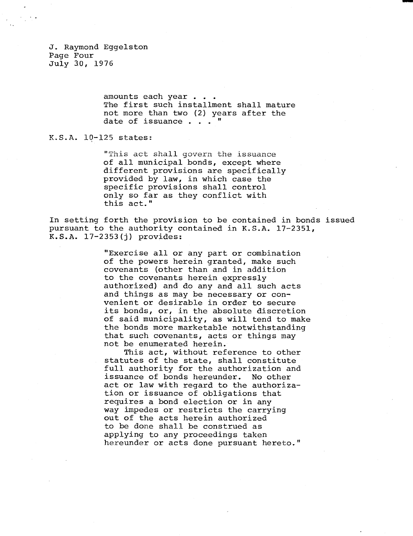J. Raymond Eggelston Page Four July 30, 1976

> amounts each year . . . The first such installment shall mature not more than two (2) years after the date of issuance . . .

K.S.A. 10-125 states:

"This act shall govern the issuance of all municipal bonds, except where different provisions are specifically provided by law, in which case the specific provisions shall control only so far as they conflict with this act."

In setting forth the provision to be contained in bonds issued pursuant to the authority contained in K.S.A. 17-2351, K.S.A. 17-2353(j) provides:

> "Exercise all or any part or combination of the powers herein granted, make such covenants (other than and in addition to the covenants herein expressly authorized) and do any and all such acts and things as may be necessary or convenient or desirable in order to secure its bonds, or, in the absolute discretion of said municipality, as will tend to make the bonds more marketable notwithstanding that such covenants, acts or things may not be enumerated herein.

This act, without reference to other statutes of the state, shall constitute full authority for the authorization and issuance of bonds hereunder. No other act or law with regard to the authorization or issuance of obligations that requires a bond election or in any way impedes or restricts the carrying out of the acts herein authorized to be done shall be construed as applying to any proceedings taken hereunder or acts done pursuant hereto."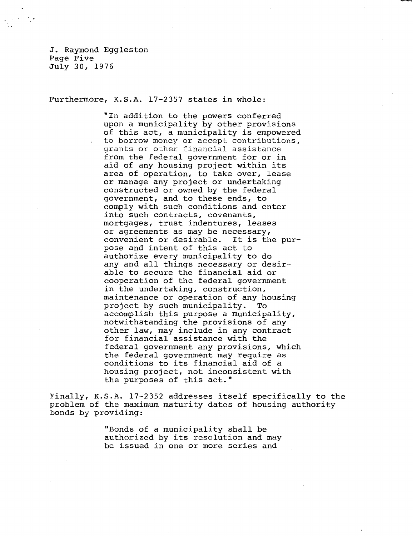J. Raymond Eqqleston Page Five July 30, 1976

Furthermore, K.S.A. 17-2357 states in whole:

"In addition to the powers conferred upon a municipality by other provisions of this act, a municipality is empowered to borrow money or accept contributions, grants or other financial assistance from the federal government for or in aid of any housing project within its area of operation, to take over, lease or manage any project or undertaking constructed or owned by the federal government, and to these ends, to comply with such conditions and enter into such contracts, covenants, mortgages, trust indentures, leases or agreements as may be necessary, convenient or desirable. It is the purpose and intent of this act to authorize every municipality to do any and all things necessary or desirable to secure the financial aid or cooperation of the federal government in the undertaking, construction, maintenance or operation of any housing project by such municipality. To accomplish this purpose a municipality, notwithstanding the provisions of any other law, may include in any contract for financial assistance with the federal government any provisions, which the federal government may require as conditions to its financial aid of a housing project, not inconsistent with the purposes of this act."

Finally, K.S.A. 17-2352 addresses itself specifically to the problem of the maximum maturity dates of housing authority bonds by providing:

> "Bonds of a municipality shall be authorized by its resolution and may be issued in one or more series and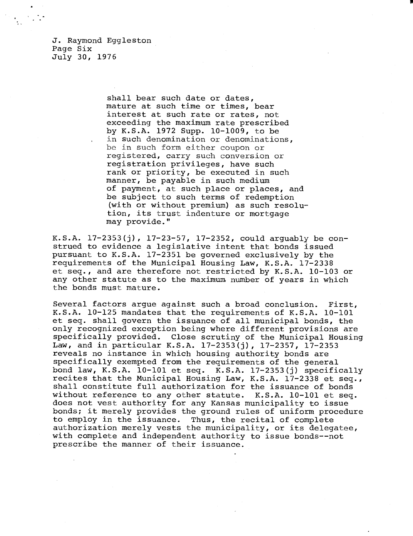J. Raymond Eggleston Page Six July 30, 1976

> shall bear such date or dates, mature at such time or times, bear interest at such rate or rates, not exceeding the maximum rate prescribed by K.S.A. 1972 Supp. 10-1009, to be in such denomination or denominations, be in such form either coupon or registered, carry such conversion or registration privileges, have such rank or priority, be executed in such manner, be payable in such medium of payment, at such place or places, and be subject to such terms of redemption (with or without premium) as such resolution, its trust indenture or mortgage may provide."

K.S.A. 17-2353(j), 17-23-57, 17-2352, could arguably be construed to evidence a legislative intent that bonds issued pursuant to K.S.A. 17-2351 be governed exclusively by the requirements of the Municipal Housing Law, K.S.A. 17-2338 et seq., and are therefore not restricted by K.S.A. 10-103 or any other statute as to the maximum number of years in which the bonds must mature.

Several factors argue against such a broad conclusion. First, K.S.A. 10-125 mandates that the requirements of K.S.A. 10-101 et seq. shall govern the issuance of all municipal bonds, the only recognized exception being where different provisions are specifically provided. Close scrutiny of the Municipal Housing Law, and in particular K.S.A. 17-2353(j), 17-2357, 17-2353 reveals no instance in which housing authority bonds are specifically exempted from the requirements of the general bond law, K.S.A. 10-101 et seq. K.S.A. 17-2353(j) specifically recites that the Municipal Housing Law, K.S.A. 17-2338 et seq., shall constitute full authorization for the issuance of bonds without reference to any other statute. K.S.A. 10-101 et seq. does not vest authority for any Kansas municipality to issue bonds; it merely provides the ground rules of uniform procedure to employ in the issuance. Thus, the recital of complete authorization merely vests the municipality, or its delegatee, with complete and independent authority to issue bonds--not prescribe the manner of their issuance.